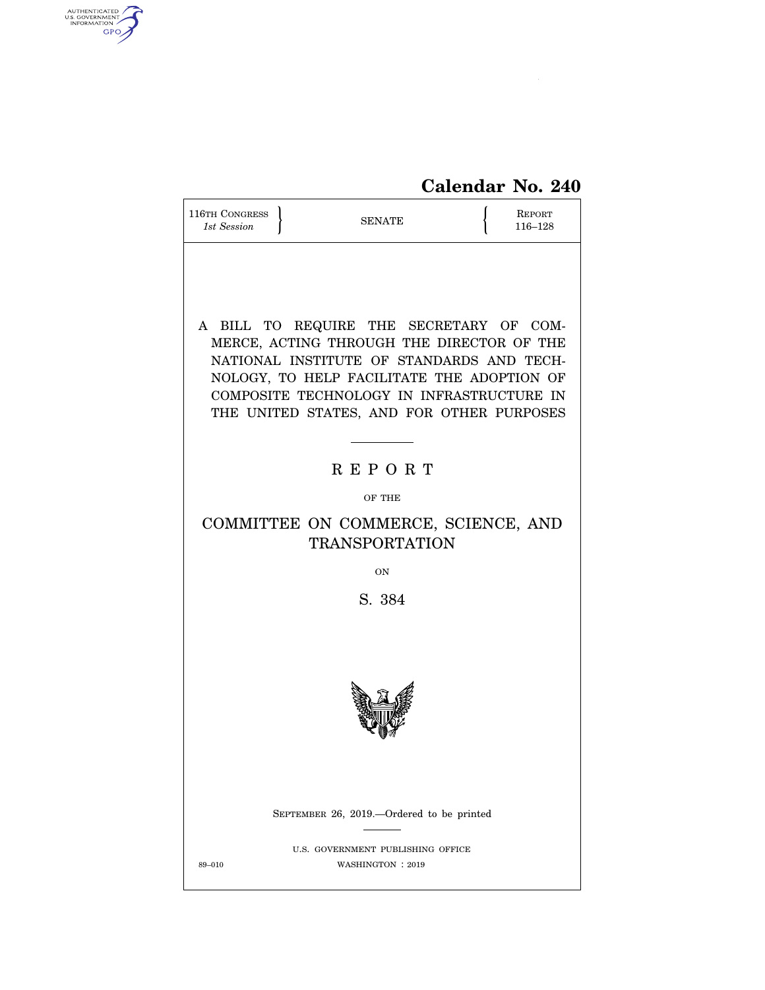# **Calendar No. 240**

| 116TH CONGRESS<br>1st Session                                                                                                                                                                                                                                             | <b>SENATE</b> |                                                       |  |  |  |  |
|---------------------------------------------------------------------------------------------------------------------------------------------------------------------------------------------------------------------------------------------------------------------------|---------------|-------------------------------------------------------|--|--|--|--|
| A BILL TO REQUIRE THE SECRETARY OF COM-<br>MERCE, ACTING THROUGH THE DIRECTOR OF THE<br>NATIONAL INSTITUTE OF STANDARDS AND TECH-<br>NOLOGY, TO HELP FACILITATE THE ADOPTION OF<br>COMPOSITE TECHNOLOGY IN INFRASTRUCTURE IN<br>THE UNITED STATES, AND FOR OTHER PURPOSES |               |                                                       |  |  |  |  |
|                                                                                                                                                                                                                                                                           |               | <b>REPORT</b>                                         |  |  |  |  |
| OF THE                                                                                                                                                                                                                                                                    |               |                                                       |  |  |  |  |
| COMMITTEE ON COMMERCE, SCIENCE, AND<br><b>TRANSPORTATION</b>                                                                                                                                                                                                              |               |                                                       |  |  |  |  |
| <b>ON</b>                                                                                                                                                                                                                                                                 |               |                                                       |  |  |  |  |
| S. 384                                                                                                                                                                                                                                                                    |               |                                                       |  |  |  |  |
|                                                                                                                                                                                                                                                                           |               |                                                       |  |  |  |  |
|                                                                                                                                                                                                                                                                           |               | SEPTEMBER 26, 2019.—Ordered to be printed             |  |  |  |  |
| 89-010                                                                                                                                                                                                                                                                    |               | U.S. GOVERNMENT PUBLISHING OFFICE<br>WASHINGTON: 2019 |  |  |  |  |

AUTHENTICATED

 $\widehat{\mathbf{f}}$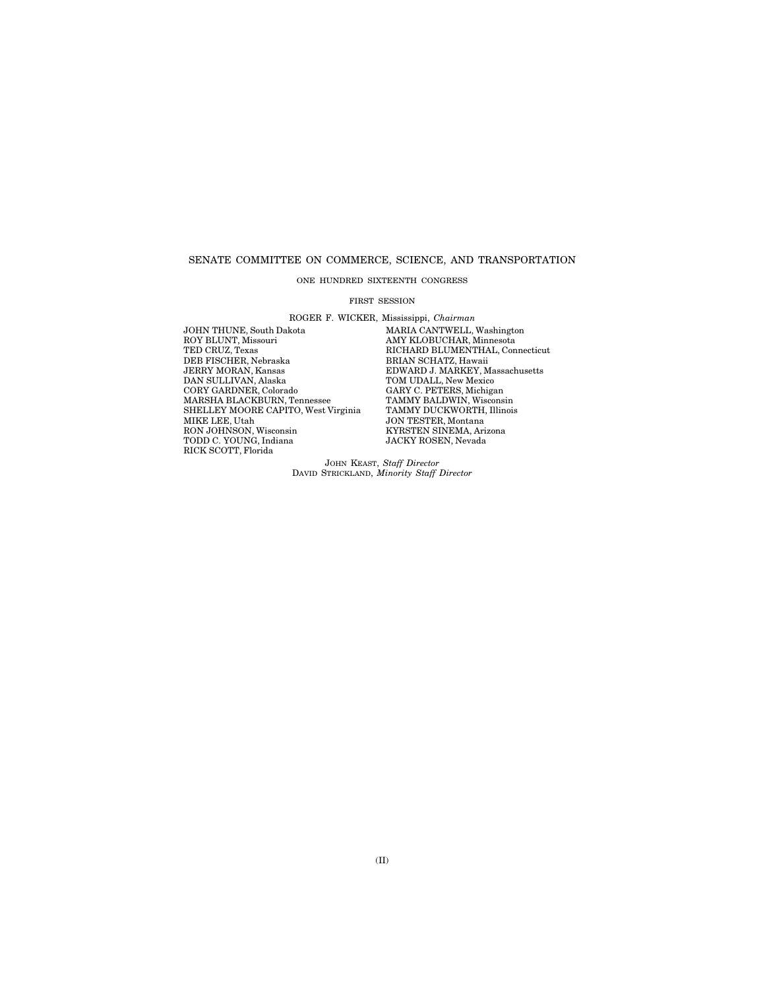# SENATE COMMITTEE ON COMMERCE, SCIENCE, AND TRANSPORTATION

ONE HUNDRED SIXTEENTH CONGRESS

#### FIRST SESSION

ROGER F. WICKER, Mississippi, *Chairman* 

JOHN THUNE, South Dakota MARIA CANTWELL, Washington<br>ROY BLUNT, Missouri MARIA MAY KLOBUCHAR, Minnesota ROY BLUNT, Missouri AMY KLOBUCHAR, Minnesota TED CRUZ, Texas RICHARD BLUMENTHAL, Connecticut THE CIRCLIFER, Nebraska BRIAN SCHATZ, Hawaii JERRY MORAN, Kansas<br>JERRY MORAN, Kansas<br>DNARD J. MARKEY, M<br>DAN SULLIVAN, Alaska TOM UDALL, New Mexic JERRY MORAN, Kansas EDWARD J. MARKEY, Massachusetts DAN SULLIVAN, Alaska TOM UDALL, New Mexico CORY GARDNER, Colorado CARY C. PETERS, Michigan<br>MARSHA BLACKBURN, Tennessee TAMMY BALDWIN, Wisconsin<br>SHELLEY MOORE CAPITO, West Virginia TAMMY DUCKWORTH, Illinois MARSHA BLACKBURN, Tennessee TAMMY BALDWIN, Wisconsin SHELLEY MOORE CAPITO, West Virginia TAMMY DUCKWORTH, Illinois MIKE LEE, Utah JON TESTER, Montana TODD C. YOUNG, Indiana JACKY ROSEN, Nevada RICK SCOTT, Florida

**SON TESTEN, MONTAIR<br>KYRSTEN SINEMA, Arizona**<br>JACKY ROSEN, Nevada

JOHN KEAST, *Staff Director*  DAVID STRICKLAND, *Minority Staff Director*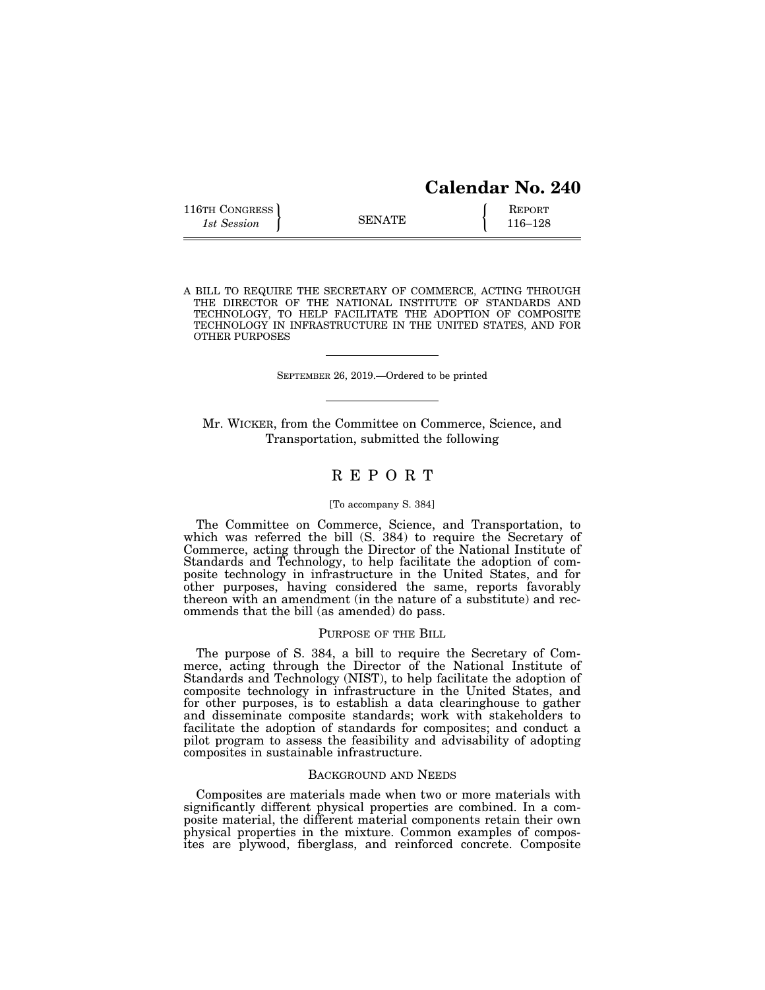| <b>Calendar No. 240</b> |  |
|-------------------------|--|
|                         |  |

| 116TH CONGRESS |               | <b>REPORT</b> |
|----------------|---------------|---------------|
| 1st Session    | <b>SENATE</b> | 116–128       |

A BILL TO REQUIRE THE SECRETARY OF COMMERCE, ACTING THROUGH THE DIRECTOR OF THE NATIONAL INSTITUTE OF STANDARDS AND TECHNOLOGY, TO HELP FACILITATE THE ADOPTION OF COMPOSITE TECHNOLOGY IN INFRASTRUCTURE IN THE UNITED STATES, AND FOR OTHER PURPOSES

SEPTEMBER 26, 2019.—Ordered to be printed

Mr. WICKER, from the Committee on Commerce, Science, and Transportation, submitted the following

# R E P O R T

#### [To accompany S. 384]

The Committee on Commerce, Science, and Transportation, to which was referred the bill (S. 384) to require the Secretary of Commerce, acting through the Director of the National Institute of Standards and Technology, to help facilitate the adoption of composite technology in infrastructure in the United States, and for other purposes, having considered the same, reports favorably thereon with an amendment (in the nature of a substitute) and recommends that the bill (as amended) do pass.

## PURPOSE OF THE BILL

The purpose of S. 384, a bill to require the Secretary of Commerce, acting through the Director of the National Institute of Standards and Technology (NIST), to help facilitate the adoption of composite technology in infrastructure in the United States, and for other purposes, is to establish a data clearinghouse to gather and disseminate composite standards; work with stakeholders to facilitate the adoption of standards for composites; and conduct a pilot program to assess the feasibility and advisability of adopting composites in sustainable infrastructure.

#### BACKGROUND AND NEEDS

Composites are materials made when two or more materials with significantly different physical properties are combined. In a composite material, the different material components retain their own physical properties in the mixture. Common examples of composites are plywood, fiberglass, and reinforced concrete. Composite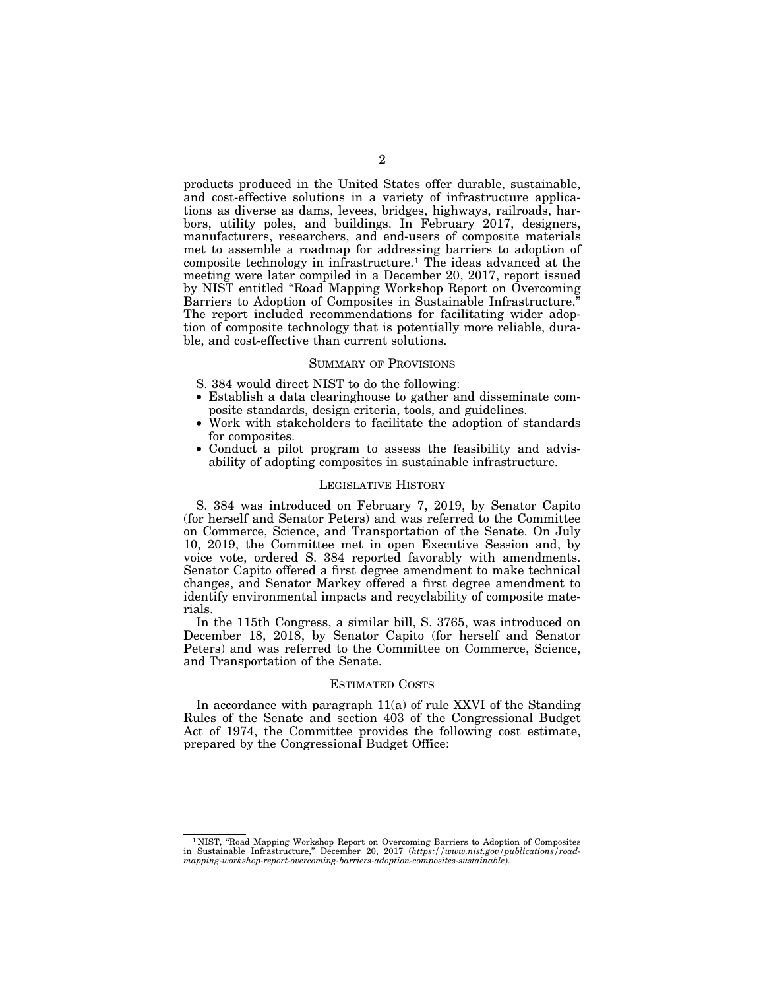products produced in the United States offer durable, sustainable, and cost-effective solutions in a variety of infrastructure applications as diverse as dams, levees, bridges, highways, railroads, harbors, utility poles, and buildings. In February 2017, designers, manufacturers, researchers, and end-users of composite materials met to assemble a roadmap for addressing barriers to adoption of composite technology in infrastructure.1 The ideas advanced at the meeting were later compiled in a December 20, 2017, report issued by NIST entitled ''Road Mapping Workshop Report on Overcoming Barriers to Adoption of Composites in Sustainable Infrastructure.'' The report included recommendations for facilitating wider adoption of composite technology that is potentially more reliable, durable, and cost-effective than current solutions.

#### SUMMARY OF PROVISIONS

- S. 384 would direct NIST to do the following:
- Establish a data clearinghouse to gather and disseminate composite standards, design criteria, tools, and guidelines.
- Work with stakeholders to facilitate the adoption of standards for composites.
- Conduct a pilot program to assess the feasibility and advisability of adopting composites in sustainable infrastructure.

# LEGISLATIVE HISTORY

S. 384 was introduced on February 7, 2019, by Senator Capito (for herself and Senator Peters) and was referred to the Committee on Commerce, Science, and Transportation of the Senate. On July 10, 2019, the Committee met in open Executive Session and, by voice vote, ordered S. 384 reported favorably with amendments. Senator Capito offered a first degree amendment to make technical changes, and Senator Markey offered a first degree amendment to identify environmental impacts and recyclability of composite materials.

In the 115th Congress, a similar bill, S. 3765, was introduced on December 18, 2018, by Senator Capito (for herself and Senator Peters) and was referred to the Committee on Commerce, Science, and Transportation of the Senate.

#### ESTIMATED COSTS

In accordance with paragraph 11(a) of rule XXVI of the Standing Rules of the Senate and section 403 of the Congressional Budget Act of 1974, the Committee provides the following cost estimate, prepared by the Congressional Budget Office:

<sup>1</sup> NIST, ''Road Mapping Workshop Report on Overcoming Barriers to Adoption of Composites in Sustainable Infrastructure,'' December 20, 2017 (*https://www.nist.gov/publications/roadmapping-workshop-report-overcoming-barriers-adoption-composites-sustainable*).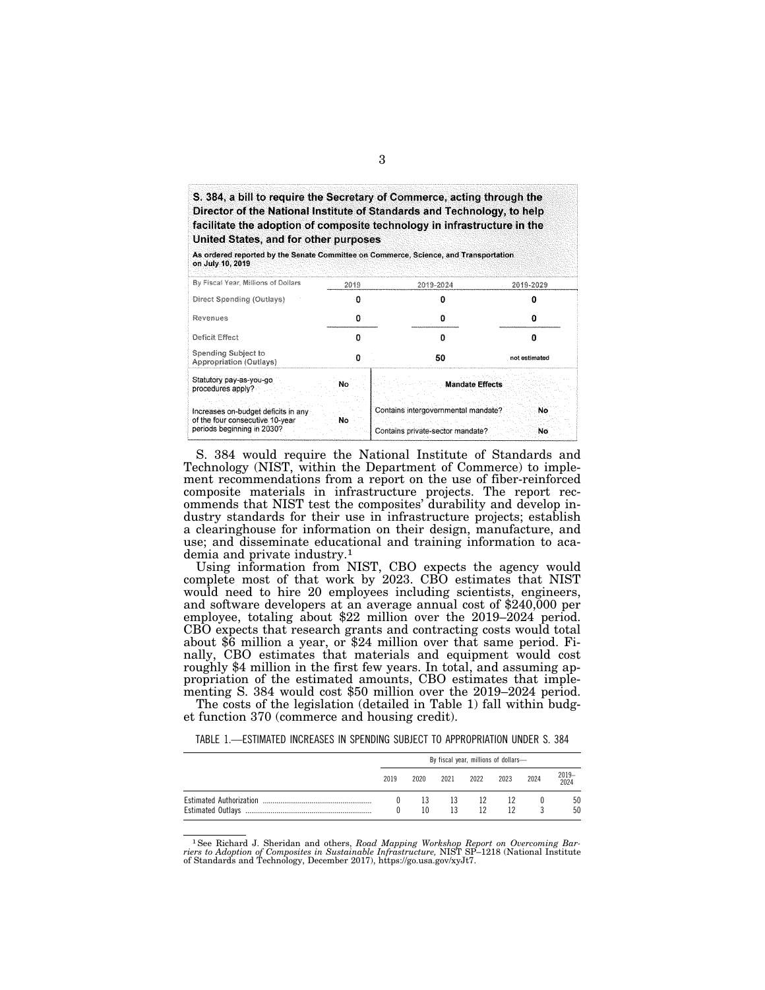| S. 384, a bill to require the Secretary of Commerce, acting through the<br>Director of the National Institute of Standards and Technology, to help<br>facilitate the adoption of composite technology in infrastructure in the<br>United States, and for other purposes<br>As ordered reported by the Senate Committee on Commerce, Science, and Transportation<br>on July 10, 2019 |      |           |           |
|-------------------------------------------------------------------------------------------------------------------------------------------------------------------------------------------------------------------------------------------------------------------------------------------------------------------------------------------------------------------------------------|------|-----------|-----------|
| By Fiscal Year, Millions of Dollars                                                                                                                                                                                                                                                                                                                                                 | 2019 | 2019-2024 | 2019-2029 |
| Direct Spending (Outlays)                                                                                                                                                                                                                                                                                                                                                           | o    |           | o         |
| Revenues                                                                                                                                                                                                                                                                                                                                                                            | Ω    | o         |           |

| Revenues                                                                                                                                             |    |                                                                                                  |               |
|------------------------------------------------------------------------------------------------------------------------------------------------------|----|--------------------------------------------------------------------------------------------------|---------------|
| Deficit Effect                                                                                                                                       |    |                                                                                                  |               |
| Spending Subject to<br><b>Appropriation (Outlays)</b>                                                                                                |    | 50                                                                                               | not estimated |
| Statutory pay-as-you-go<br>procedures apply?<br>Increases on-budget deficits in any<br>of the four consecutive 10-year<br>periods beginning in 2030? | No | <b>Mandate Effects</b><br>Contains intergovernmental mandate<br>Contains private-sector mandate? | No            |

S. 384 would require the National Institute of Standards and Technology (NIST, within the Department of Commerce) to implement recommendations from a report on the use of fiber-reinforced composite materials in infrastructure projects. The report recommends that NIST test the composites' durability and develop industry standards for their use in infrastructure projects; establish a clearinghouse for information on their design, manufacture, and use; and disseminate educational and training information to academia and private industry.1

Using information from NIST, CBO expects the agency would complete most of that work by 2023. CBO estimates that NIST would need to hire 20 employees including scientists, engineers, and software developers at an average annual cost of \$240,000 per employee, totaling about \$22 million over the 2019–2024 period. CBO expects that research grants and contracting costs would total about \$6 million a year, or \$24 million over that same period. Finally, CBO estimates that materials and equipment would cost roughly \$4 million in the first few years. In total, and assuming appropriation of the estimated amounts, CBO estimates that implementing S. 384 would cost \$50 million over the 2019–2024 period. The costs of the legislation (detailed in Table 1) fall within budg-

et function 370 (commerce and housing credit).

TABLE 1.—ESTIMATED INCREASES IN SPENDING SUBJECT TO APPROPRIATION UNDER S. 384

| By fiscal year, millions of dollars- |                  |      |      |      |      |               |
|--------------------------------------|------------------|------|------|------|------|---------------|
| 2019                                 | 2020             | 2021 | 2022 | 2023 | 2024 | 2019-<br>2024 |
|                                      | 13               |      | 12   |      |      | 50            |
|                                      | 10 <sup>10</sup> | 13   | 12   | 12   |      | 50            |
|                                      |                  |      |      | 13   |      |               |

<sup>1</sup>See Richard J. Sheridan and others, *Road Mapping Workshop Report on Overcoming Barriers to Adoption of Composites in Sustainable Infrastructure, NIST SP-1218 (National Institute of Standards and Technology, December 2*